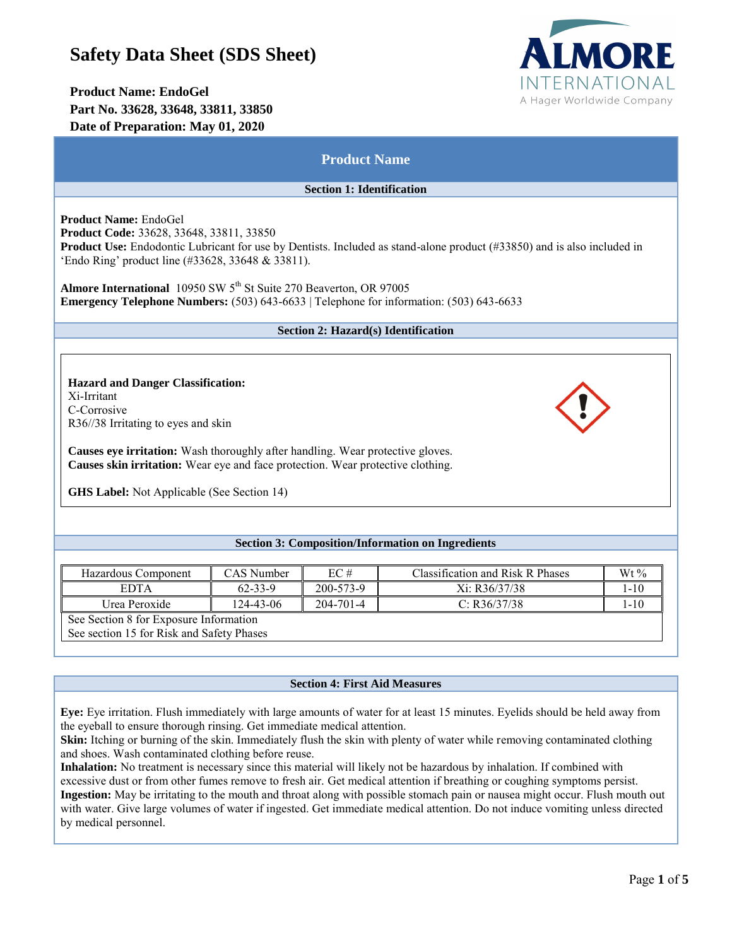# **Safety Data Sheet (SDS Sheet)**

## **Product Name: EndoGel Part No. 33628, 33648, 33811, 33850 Date of Preparation: May 01, 2020**



| <b>Product Name</b>                                                                                                                                                                                                                                                                                                                                                                                                                           |                                          |                                     |                                                                          |                             |  |  |
|-----------------------------------------------------------------------------------------------------------------------------------------------------------------------------------------------------------------------------------------------------------------------------------------------------------------------------------------------------------------------------------------------------------------------------------------------|------------------------------------------|-------------------------------------|--------------------------------------------------------------------------|-----------------------------|--|--|
|                                                                                                                                                                                                                                                                                                                                                                                                                                               |                                          | <b>Section 1: Identification</b>    |                                                                          |                             |  |  |
| Product Name: EndoGel<br>Product Code: 33628, 33648, 33811, 33850<br>Product Use: Endodontic Lubricant for use by Dentists. Included as stand-alone product (#33850) and is also included in<br>'Endo Ring' product line (#33628, 33648 & 33811).<br>Almore International 10950 SW 5 <sup>th</sup> St Suite 270 Beaverton, OR 97005<br><b>Emergency Telephone Numbers:</b> $(503)$ $643-6633$   Telephone for information: $(503)$ $643-6633$ |                                          |                                     |                                                                          |                             |  |  |
|                                                                                                                                                                                                                                                                                                                                                                                                                                               |                                          |                                     |                                                                          |                             |  |  |
|                                                                                                                                                                                                                                                                                                                                                                                                                                               |                                          | Section 2: Hazard(s) Identification |                                                                          |                             |  |  |
| <b>Hazard and Danger Classification:</b><br>Xi-Irritant<br>C-Corrosive<br>R36//38 Irritating to eyes and skin<br>Causes eye irritation: Wash thoroughly after handling. Wear protective gloves.<br>Causes skin irritation: Wear eye and face protection. Wear protective clothing.<br><b>GHS Label:</b> Not Applicable (See Section 14)                                                                                                       |                                          |                                     |                                                                          |                             |  |  |
|                                                                                                                                                                                                                                                                                                                                                                                                                                               |                                          |                                     | <b>Section 3: Composition/Information on Ingredients</b>                 |                             |  |  |
| Hazardous Component<br><b>EDTA</b><br>Urea Peroxide<br>See Section 8 for Exposure Information                                                                                                                                                                                                                                                                                                                                                 | CAS Number<br>$62 - 33 - 9$<br>124-43-06 | EC#<br>200-573-9<br>204-701-4       | <b>Classification and Risk R Phases</b><br>Xi: R36/37/38<br>C: R36/37/38 | Wt%<br>$1 - 10$<br>$1 - 10$ |  |  |
| See section 15 for Risk and Safety Phases                                                                                                                                                                                                                                                                                                                                                                                                     |                                          |                                     |                                                                          |                             |  |  |

## **Section 4: First Aid Measures**

**Eye:** Eye irritation. Flush immediately with large amounts of water for at least 15 minutes. Eyelids should be held away from the eyeball to ensure thorough rinsing. Get immediate medical attention.

**Skin:** Itching or burning of the skin. Immediately flush the skin with plenty of water while removing contaminated clothing and shoes. Wash contaminated clothing before reuse.

**Inhalation:** No treatment is necessary since this material will likely not be hazardous by inhalation. If combined with excessive dust or from other fumes remove to fresh air. Get medical attention if breathing or coughing symptoms persist. **Ingestion:** May be irritating to the mouth and throat along with possible stomach pain or nausea might occur. Flush mouth out with water. Give large volumes of water if ingested. Get immediate medical attention. Do not induce vomiting unless directed by medical personnel.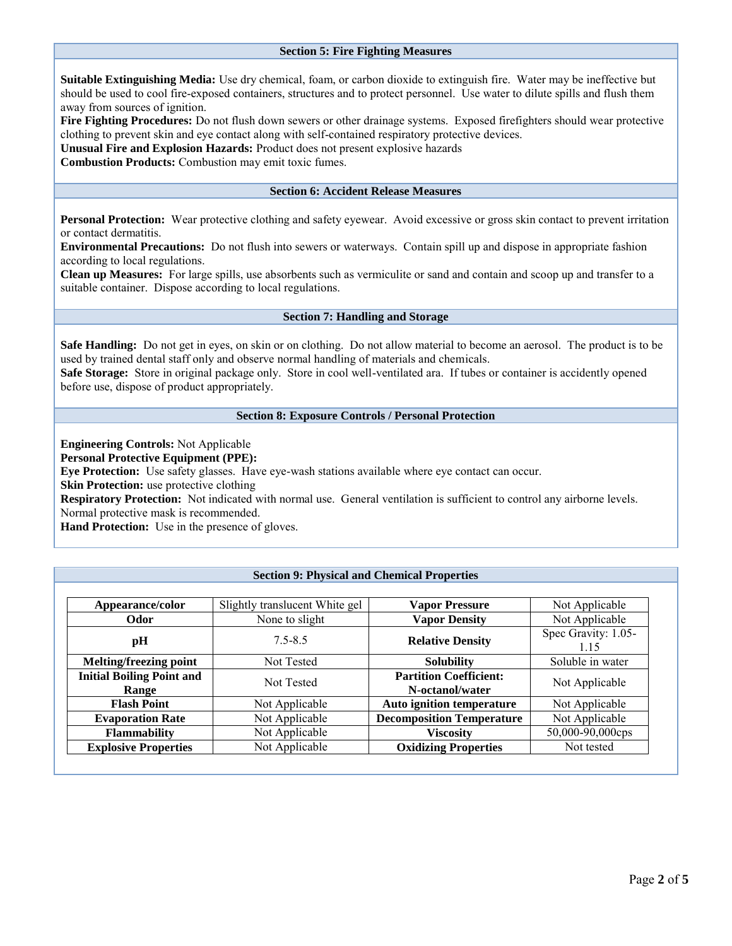## **Section 5: Fire Fighting Measures**

**Suitable Extinguishing Media:** Use dry chemical, foam, or carbon dioxide to extinguish fire. Water may be ineffective but should be used to cool fire-exposed containers, structures and to protect personnel. Use water to dilute spills and flush them away from sources of ignition.

**Fire Fighting Procedures:** Do not flush down sewers or other drainage systems. Exposed firefighters should wear protective clothing to prevent skin and eye contact along with self-contained respiratory protective devices.

**Unusual Fire and Explosion Hazards:** Product does not present explosive hazards

**Combustion Products:** Combustion may emit toxic fumes.

## **Section 6: Accident Release Measures**

**Personal Protection:** Wear protective clothing and safety eyewear. Avoid excessive or gross skin contact to prevent irritation or contact dermatitis.

**Environmental Precautions:** Do not flush into sewers or waterways. Contain spill up and dispose in appropriate fashion according to local regulations.

**Clean up Measures:** For large spills, use absorbents such as vermiculite or sand and contain and scoop up and transfer to a suitable container. Dispose according to local regulations.

#### **Section 7: Handling and Storage**

**Safe Handling:** Do not get in eyes, on skin or on clothing. Do not allow material to become an aerosol. The product is to be used by trained dental staff only and observe normal handling of materials and chemicals.

**Safe Storage:** Store in original package only. Store in cool well-ventilated ara. If tubes or container is accidently opened before use, dispose of product appropriately.

#### **Section 8: Exposure Controls / Personal Protection**

**Engineering Controls:** Not Applicable

**Personal Protective Equipment (PPE):**

**Eye Protection:** Use safety glasses. Have eye-wash stations available where eye contact can occur.

**Skin Protection:** use protective clothing

**Respiratory Protection:** Not indicated with normal use. General ventilation is sufficient to control any airborne levels. Normal protective mask is recommended.

**Hand Protection:** Use in the presence of gloves.

## **Section 9: Physical and Chemical Properties**

| Appearance/color                          | Slightly translucent White gel | <b>Vapor Pressure</b>                            | Not Applicable              |
|-------------------------------------------|--------------------------------|--------------------------------------------------|-----------------------------|
| Odor                                      | None to slight                 | <b>Vapor Density</b>                             | Not Applicable              |
| pH                                        | $7.5 - 8.5$                    | <b>Relative Density</b>                          | Spec Gravity: 1.05-<br>1.15 |
| <b>Melting/freezing point</b>             | Not Tested                     | <b>Solubility</b>                                | Soluble in water            |
| <b>Initial Boiling Point and</b><br>Range | Not Tested                     | <b>Partition Coefficient:</b><br>N-octanol/water | Not Applicable              |
| <b>Flash Point</b>                        | Not Applicable                 | <b>Auto ignition temperature</b>                 | Not Applicable              |
| <b>Evaporation Rate</b>                   | Not Applicable                 | <b>Decomposition Temperature</b>                 | Not Applicable              |
| <b>Flammability</b>                       | Not Applicable                 | Viscositv                                        | 50,000-90,000cps            |
| <b>Explosive Properties</b>               | Not Applicable                 | <b>Oxidizing Properties</b>                      | Not tested                  |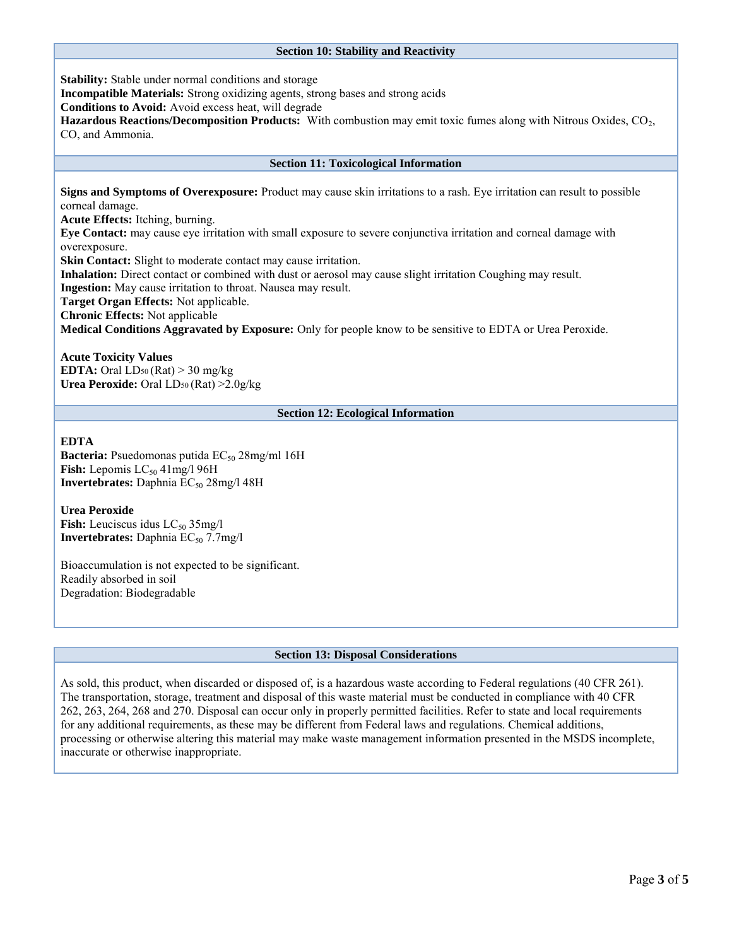## **Section 10: Stability and Reactivity**

**Stability:** Stable under normal conditions and storage

**Incompatible Materials:** Strong oxidizing agents, strong bases and strong acids

**Conditions to Avoid:** Avoid excess heat, will degrade

**Hazardous Reactions/Decomposition Products:** With combustion may emit toxic fumes along with Nitrous Oxides, CO<sub>2</sub>, CO, and Ammonia.

## **Section 11: Toxicological Information**

**Signs and Symptoms of Overexposure:** Product may cause skin irritations to a rash. Eye irritation can result to possible corneal damage.

**Acute Effects:** Itching, burning.

**Eye Contact:** may cause eye irritation with small exposure to severe conjunctiva irritation and corneal damage with overexposure.

**Skin Contact:** Slight to moderate contact may cause irritation.

**Inhalation:** Direct contact or combined with dust or aerosol may cause slight irritation Coughing may result.

**Ingestion:** May cause irritation to throat. Nausea may result.

**Target Organ Effects:** Not applicable.

**Chronic Effects:** Not applicable

**Medical Conditions Aggravated by Exposure:** Only for people know to be sensitive to EDTA or Urea Peroxide.

## **Acute Toxicity Values**

**EDTA:** Oral  $LD_{50}$  (Rat)  $>$  30 mg/kg **Urea Peroxide:** Oral LD50 (Rat) >2.0g/kg

## **Section 12: Ecological Information**

## **EDTA**

**Bacteria:** Psuedomonas putida  $EC_{50}$  28mg/ml 16H **Fish:** Lepomis  $LC_{50}$  41mg/1 96H **Invertebrates:** Daphnia EC<sub>50</sub> 28mg/l 48H

## **Urea Peroxide**

**Fish:** Leuciscus idus  $LC_{50}$  35mg/l **Invertebrates:** Daphnia  $EC_{50}$  7.7mg/l

Bioaccumulation is not expected to be significant. Readily absorbed in soil Degradation: Biodegradable

## **Section 13: Disposal Considerations**

As sold, this product, when discarded or disposed of, is a hazardous waste according to Federal regulations (40 CFR 261). The transportation, storage, treatment and disposal of this waste material must be conducted in compliance with 40 CFR 262, 263, 264, 268 and 270. Disposal can occur only in properly permitted facilities. Refer to state and local requirements for any additional requirements, as these may be different from Federal laws and regulations. Chemical additions, processing or otherwise altering this material may make waste management information presented in the MSDS incomplete, inaccurate or otherwise inappropriate.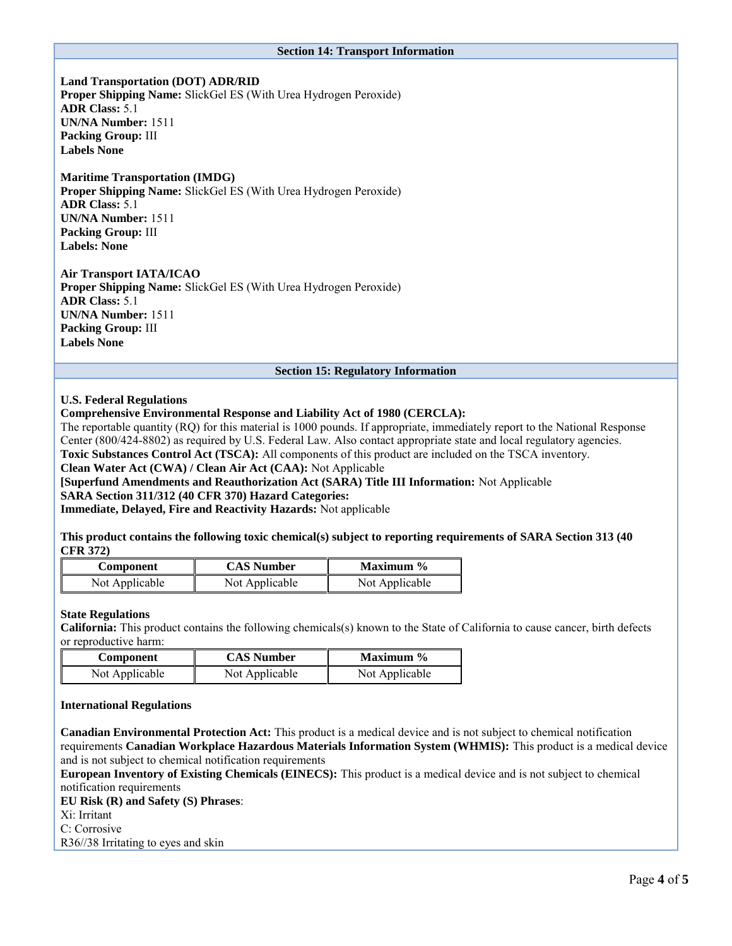#### **Section 14: Transport Information**

**Land Transportation (DOT) ADR/RID Proper Shipping Name:** SlickGel ES (With Urea Hydrogen Peroxide) **ADR Class:** 5.1 **UN/NA Number:** 1511 **Packing Group:** III **Labels None**

## **Maritime Transportation (IMDG)**

**Proper Shipping Name:** SlickGel ES (With Urea Hydrogen Peroxide) **ADR Class:** 5.1 **UN/NA Number:** 1511 **Packing Group:** III **Labels: None**

## **Air Transport IATA/ICAO**

**Proper Shipping Name:** SlickGel ES (With Urea Hydrogen Peroxide) **ADR Class:** 5.1 **UN/NA Number:** 1511 **Packing Group:** III **Labels None**

#### **Section 15: Regulatory Information**

#### **U.S. Federal Regulations**

## **Comprehensive Environmental Response and Liability Act of 1980 (CERCLA):**

The reportable quantity (RQ) for this material is 1000 pounds. If appropriate, immediately report to the National Response Center (800/424-8802) as required by U.S. Federal Law. Also contact appropriate state and local regulatory agencies.

**Toxic Substances Control Act (TSCA):** All components of this product are included on the TSCA inventory.

**Clean Water Act (CWA) / Clean Air Act (CAA):** Not Applicable

**[Superfund Amendments and Reauthorization Act (SARA) Title III Information:** Not Applicable

**SARA Section 311/312 (40 CFR 370) Hazard Categories:**

**Immediate, Delayed, Fire and Reactivity Hazards:** Not applicable

**This product contains the following toxic chemical(s) subject to reporting requirements of SARA Section 313 (40 CFR 372)**

| Component      | <b>CAS Number</b> | Maximum $\%$   |  |
|----------------|-------------------|----------------|--|
| Not Applicable | Not Applicable    | Not Applicable |  |

#### **State Regulations**

**California:** This product contains the following chemicals(s) known to the State of California to cause cancer, birth defects or reproductive harm:

| Component      | <b>CAS Number</b> | Maximum $\%$   |  |
|----------------|-------------------|----------------|--|
| Not Applicable | Not Applicable    | Not Applicable |  |

#### **International Regulations**

**Canadian Environmental Protection Act:** This product is a medical device and is not subject to chemical notification requirements **Canadian Workplace Hazardous Materials Information System (WHMIS):** This product is a medical device and is not subject to chemical notification requirements

**European Inventory of Existing Chemicals (EINECS):** This product is a medical device and is not subject to chemical notification requirements

**EU Risk (R) and Safety (S) Phrases**: Xi: Irritant C: Corrosive R36//38 Irritating to eyes and skin